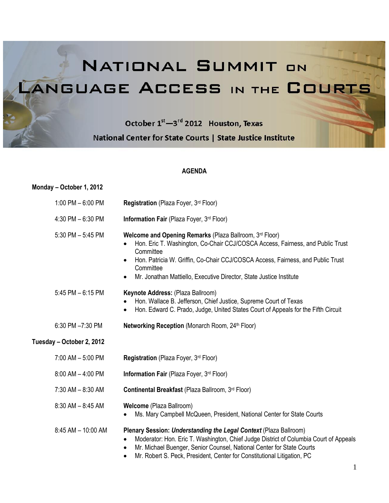NATIONAL SUMMIT ON LANGUAGE ACCESS IN THE COURTS

> October 1<sup>st</sup>-3<sup>rd</sup> 2012 Houston, Texas National Center for State Courts | State Justice Institute

# **AGENDA**

# **Monday – October 1, 2012**

| 1:00 PM $-6:00$ PM        | Registration (Plaza Foyer, 3rd Floor)                                                                                                                                                                                                                                                                                                                   |
|---------------------------|---------------------------------------------------------------------------------------------------------------------------------------------------------------------------------------------------------------------------------------------------------------------------------------------------------------------------------------------------------|
| 4:30 PM $-6:30$ PM        | Information Fair (Plaza Foyer, 3rd Floor)                                                                                                                                                                                                                                                                                                               |
| 5:30 PM $-$ 5:45 PM       | Welcome and Opening Remarks (Plaza Ballroom, 3rd Floor)<br>Hon. Eric T. Washington, Co-Chair CCJ/COSCA Access, Fairness, and Public Trust<br>Committee<br>Hon. Patricia W. Griffin, Co-Chair CCJ/COSCA Access, Fairness, and Public Trust<br>$\bullet$<br>Committee<br>Mr. Jonathan Mattiello, Executive Director, State Justice Institute<br>$\bullet$ |
| 5:45 PM - 6:15 PM         | Keynote Address: (Plaza Ballroom)<br>Hon. Wallace B. Jefferson, Chief Justice, Supreme Court of Texas<br>Hon. Edward C. Prado, Judge, United States Court of Appeals for the Fifth Circuit<br>$\bullet$                                                                                                                                                 |
| 6:30 PM -7:30 PM          | Networking Reception (Monarch Room, 24th Floor)                                                                                                                                                                                                                                                                                                         |
| Tuesday - October 2, 2012 |                                                                                                                                                                                                                                                                                                                                                         |
| 7:00 AM - 5:00 PM         | Registration (Plaza Foyer, 3rd Floor)                                                                                                                                                                                                                                                                                                                   |
| $8:00$ AM $-$ 4:00 PM     | Information Fair (Plaza Foyer, 3rd Floor)                                                                                                                                                                                                                                                                                                               |
| $7:30$ AM $- 8:30$ AM     | Continental Breakfast (Plaza Ballroom, 3rd Floor)                                                                                                                                                                                                                                                                                                       |
| $8:30$ AM $- 8:45$ AM     | Welcome (Plaza Ballroom)<br>Ms. Mary Campbell McQueen, President, National Center for State Courts                                                                                                                                                                                                                                                      |
| 8:45 AM - 10:00 AM        | Plenary Session: Understanding the Legal Context (Plaza Ballroom)<br>Moderator: Hon. Eric T. Washington, Chief Judge District of Columbia Court of Appeals<br>Mr. Michael Buenger, Senior Counsel, National Center for State Courts<br>٠<br>Mr. Robert S. Peck, President, Center for Constitutional Litigation, PC                                     |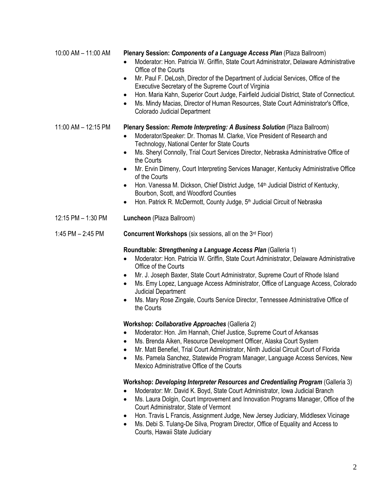| 10:00 AM - 11:00 AM | Plenary Session: Components of a Language Access Plan (Plaza Ballroom)<br>Moderator: Hon. Patricia W. Griffin, State Court Administrator, Delaware Administrative<br>Office of the Courts<br>Mr. Paul F. DeLosh, Director of the Department of Judicial Services, Office of the<br>٠<br>Executive Secretary of the Supreme Court of Virginia<br>Hon. Maria Kahn, Superior Court Judge, Fairfield Judicial District, State of Connecticut.<br>٠<br>Ms. Mindy Macias, Director of Human Resources, State Court Administrator's Office,<br><b>Colorado Judicial Department</b>                                                                                                                                                                                                                                                                                                                                                                                                                                                                  |  |
|---------------------|----------------------------------------------------------------------------------------------------------------------------------------------------------------------------------------------------------------------------------------------------------------------------------------------------------------------------------------------------------------------------------------------------------------------------------------------------------------------------------------------------------------------------------------------------------------------------------------------------------------------------------------------------------------------------------------------------------------------------------------------------------------------------------------------------------------------------------------------------------------------------------------------------------------------------------------------------------------------------------------------------------------------------------------------|--|
| 11:00 AM - 12:15 PM | Plenary Session: Remote Interpreting: A Business Solution (Plaza Ballroom)<br>Moderator/Speaker: Dr. Thomas M. Clarke, Vice President of Research and<br>Technology, National Center for State Courts<br>Ms. Sheryl Connolly, Trial Court Services Director, Nebraska Administrative Office of<br>$\bullet$<br>the Courts<br>Mr. Ervin Dimeny, Court Interpreting Services Manager, Kentucky Administrative Office<br>٠<br>of the Courts<br>Hon. Vanessa M. Dickson, Chief District Judge, 14 <sup>th</sup> Judicial District of Kentucky,<br>٠<br>Bourbon, Scott, and Woodford Counties<br>Hon. Patrick R. McDermott, County Judge, 5 <sup>th</sup> Judicial Circuit of Nebraska<br>$\bullet$                                                                                                                                                                                                                                                                                                                                               |  |
| 12:15 PM - 1:30 PM  | Luncheon (Plaza Ballroom)                                                                                                                                                                                                                                                                                                                                                                                                                                                                                                                                                                                                                                                                                                                                                                                                                                                                                                                                                                                                                    |  |
| 1:45 PM $-$ 2:45 PM | Concurrent Workshops (six sessions, all on the 3rd Floor)                                                                                                                                                                                                                                                                                                                                                                                                                                                                                                                                                                                                                                                                                                                                                                                                                                                                                                                                                                                    |  |
|                     | Roundtable: Strengthening a Language Access Plan (Galleria 1)<br>Moderator: Hon. Patricia W. Griffin, State Court Administrator, Delaware Administrative<br>$\bullet$<br>Office of the Courts<br>Mr. J. Joseph Baxter, State Court Administrator, Supreme Court of Rhode Island<br>٠<br>Ms. Emy Lopez, Language Access Administrator, Office of Language Access, Colorado<br>Judicial Department<br>Ms. Mary Rose Zingale, Courts Service Director, Tennessee Administrative Office of<br>the Courts<br>Workshop: Collaborative Approaches (Galleria 2)<br>Moderator: Hon. Jim Hannah, Chief Justice, Supreme Court of Arkansas<br>Ms. Brenda Aiken, Resource Development Officer, Alaska Court System<br>Mr. Matt Benefiel, Trial Court Administrator, Ninth Judicial Circuit Court of Florida<br>$\bullet$<br>Ms. Pamela Sanchez, Statewide Program Manager, Language Access Services, New<br>$\bullet$<br>Mexico Administrative Office of the Courts<br>Workshop: Developing Interpreter Resources and Credentialing Program (Galleria 3) |  |
|                     | Moderator: Mr. David K. Boyd, State Court Administrator, Iowa Judicial Branch                                                                                                                                                                                                                                                                                                                                                                                                                                                                                                                                                                                                                                                                                                                                                                                                                                                                                                                                                                |  |

- Ms. Laura Dolgin, Court Improvement and Innovation Programs Manager, Office of the Court Administrator, State of Vermont
- Hon. Travis L Francis, Assignment Judge, New Jersey Judiciary, Middlesex Vicinage
- Ms. Debi S. Tulang-De Silva, Program Director, Office of Equality and Access to Courts, Hawaii State Judiciary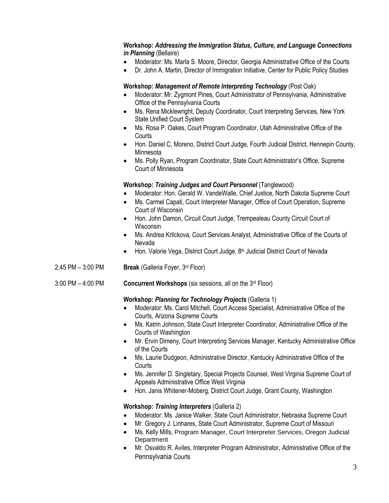# **Workshop:** *Addressing the Immigration Status, Culture, and Language Connections in Planning* (Bellaire)

- Moderator: Ms. Marla S. Moore, Director, Georgia Administrative Office of the Courts
- Dr. John A. Martin, Director of Immigration Initiative, Center for Public Policy Studies

## **Workshop:** *Management of Remote Interpreting Technology* (Post Oak)

- Moderator: Mr. Zygmont Pines, Court Administrator of Pennsylvania, Administrative Office of the Pennsylvania Courts
- Ms. Rena Micklewright, Deputy Coordinator, Court Interpreting Services, New York State Unified Court System
- Ms. Rosa P. Oakes, Court Program Coordinator, Utah Administrative Office of the **Courts**
- Hon. Daniel C, Moreno, District Court Judge, Fourth Judicial District, Hennepin County, Minnesota
- Ms. Polly Ryan, Program Coordinator, State Court Administrator's Office, Supreme Court of Minnesota

## **Workshop:** *Training Judges and Court Personnel* (Tanglewood)

- Moderator: Hon. Gerald W. VandeWalle, Chief Justice, North Dakota Supreme Court
- Ms. Carmel Capati, Court Interpreter Manager, Office of Court Operation, Supreme Court of Wisconsin
- Hon. John Damon, Circuit Court Judge, Trempealeau County Circuit Court of Wisconsin
- Ms. Andrea Krlickova, Court Services Analyst, Administrative Office of the Courts of Nevada
- Hon. Valorie Vega, District Court Judge, 8<sup>th</sup> Judicial District Court of Nevada
- 2:45 PM 3:00 PM **Break** (Galleria Foyer, 3rd Floor)
- 3:00 PM 4:00 PM **Concurrent Workshops** (six sessions, all on the 3rd Floor)

#### **Workshop:** *Planning for Technology Projects* (Galleria 1)

- Moderator: Ms. Carol Mitchell, Court Access Specialist, Administrative Office of the Courts, Arizona Supreme Courts
- Ms. Katrin Johnson, State Court Interpreter Coordinator, Administrative Office of the Courts of Washington
- Mr. Ervin Dimeny, Court Interpreting Services Manager, Kentucky Administrative Office of the Courts
- Ms. Laurie Dudgeon, Administrative Director, Kentucky Administrative Office of the **Courts**
- Ms. Jennifer D. Singletary, Special Projects Counsel, West Virginia Supreme Court of Appeals Administrative Office West Virginia
- Hon. Janis Whitener-Moberg, District Court Judge, Grant County, Washington

# **Workshop:** *Training Interpreters* (Galleria 2)

- Moderator: Ms. Janice Walker, State Court Administrator, Nebraska Supreme Court
- Mr. Gregory J. Linhares, State Court Administrator, Supreme Court of Missouri
- Ms. Kelly Mills, Program Manager, Court Interpreter Services, Oregon Judicial **Department**
- Mr. Osvaldo R. Aviles, Interpreter Program Administrator, Administrative Office of the Pennsylvania Courts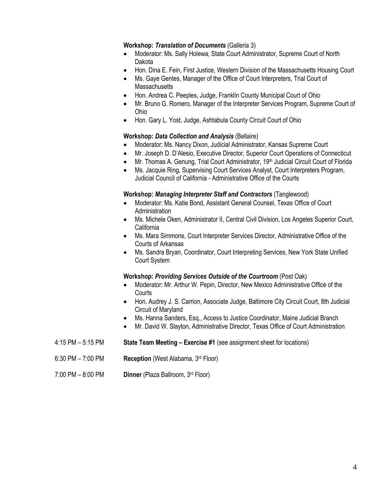#### **Workshop:** *Translation of Documents* (Galleria 3)

- Moderator: Ms. Sally Holewa, State Court Administrator, Supreme Court of North Dakota
- Hon. Dina E. Fein, First Justice, Western Division of the Massachusetts Housing Court
- Ms. Gaye Gentes, Manager of the Office of Court Interpreters, Trial Court of **Massachusetts**
- Hon. Andrea C. Peeples, Judge, Franklin County Municipal Court of Ohio
- Mr. Bruno G. Romero, Manager of the Interpreter Services Program, Supreme Court of Ohio
- Hon. Gary L. Yost, Judge, Ashtabula County Circuit Court of Ohio

#### **Workshop:** *Data Collection and Analysis* (Bellaire)

- Moderator: Ms. Nancy Dixon, Judicial Administrator, Kansas Supreme Court
- Mr. Joseph D. D'Alesio, Executive Director, Superior Court Operations of Connecticut
- Mr. Thomas A. Genung, Trial Court Administrator, 19<sup>th</sup> Judicial Circuit Court of Florida
- Ms. Jacquie Ring, Supervising Court Services Analyst, Court Interpreters Program, Judicial Council of California - Administrative Office of the Courts

#### **Workshop:** *Managing Interpreter Staff and Contractors* (Tanglewood)

- Moderator: Ms. Katie Bond, Assistant General Counsel, Texas Office of Court Administration
- Ms. Michele Oken, Administrator II, Central Civil Division, Los Angeles Superior Court, **California**
- Ms. Mara Simmons, Court Interpreter Services Director, Administrative Office of the Courts of Arkansas
- Ms. Sandra Bryan, Coordinator, Court Interpreting Services, New York State Unified Court System

#### **Workshop:** *Providing Services Outside of the Courtroom* (Post Oak)

- Moderator: Mr. Arthur W. Pepin, Director, New Mexico Administrative Office of the **Courts**
- Hon. Audrey J. S. Carrion, Associate Judge, Baltimore City Circuit Court, 8th Judicial Circuit of Maryland
- Ms. Hanna Sanders, Esq., Access to Justice Coordinator, Maine Judicial Branch
- Mr. David W. Slayton, Administrative Director, Texas Office of Court Administration
- 4:15 PM 5:15 PM **State Team Meeting – Exercise #1** (see assignment sheet for locations)
- 6:30 PM 7:00 PM **Reception** (West Alabama, 3rd Floor)
- 7:00 PM 8:00 PM **Dinner** (Plaza Ballroom, 3rd Floor)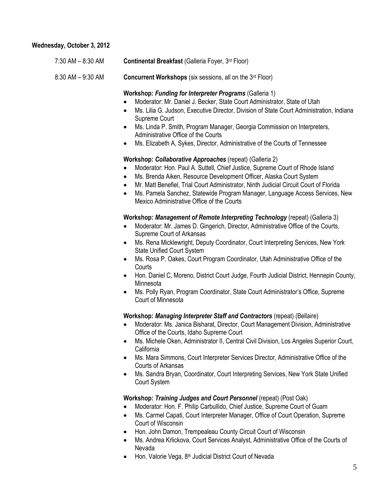## **Wednesday, October 3, 2012**

| 7:30 AM - 8:30 AM | Continental Breakfast (Galleria Foyer, 3rd Floor) |
|-------------------|---------------------------------------------------|
|-------------------|---------------------------------------------------|

8:30 AM – 9:30 AM **Concurrent Workshops** (six sessions, all on the 3rd Floor)

#### **Workshop:** *Funding for Interpreter Programs* (Galleria 1)

- Moderator: Mr. Daniel J. Becker, State Court Administrator, State of Utah
- Ms. Lilia G. Judson, Executive Director, Division of State Court Administration, Indiana Supreme Court
- Ms. Linda P. Smith, Program Manager, Georgia Commission on Interpreters, Administrative Office of the Courts
- Ms. Elizabeth A, Sykes, Director, Administrative of the Courts of Tennessee

## **Workshop:** *Collaborative Approaches* (repeat) (Galleria 2)

- Moderator: Hon. Paul A. Suttell, Chief Justice, Supreme Court of Rhode Island
- Ms. Brenda Aiken, Resource Development Officer, Alaska Court System
- Mr. Matt Benefiel, Trial Court Administrator, Ninth Judicial Circuit Court of Florida
- Ms. Pamela Sanchez, Statewide Program Manager, Language Access Services, New Mexico Administrative Office of the Courts

#### **Workshop:** *Management of Remote Interpreting Technology* (repeat) (Galleria 3)

- Moderator: Mr. James D. Gingerich, Director, Administrative Office of the Courts, Supreme Court of Arkansas
- Ms. Rena Micklewright, Deputy Coordinator, Court Interpreting Services, New York State Unified Court System
- Ms. Rosa P. Oakes, Court Program Coordinator, Utah Administrative Office of the **Courts**
- Hon. Daniel C, Moreno, District Court Judge, Fourth Judicial District, Hennepin County, Minnesota
- Ms. Polly Ryan, Program Coordinator, State Court Administrator's Office, Supreme Court of Minnesota

#### **Workshop:** *Managing Interpreter Staff and Contractors* (repeat) (Bellaire)

- Moderator: Ms. Janica Bisharat, Director, Court Management Division, Administrative Office of the Courts, Idaho Supreme Court
- Ms. Michele Oken, Administrator II, Central Civil Division, Los Angeles Superior Court, California
- Ms. Mara Simmons, Court Interpreter Services Director, Administrative Office of the Courts of Arkansas
- Ms. Sandra Bryan, Coordinator, Court Interpreting Services, New York State Unified Court System

#### **Workshop:** *Training Judges and Court Personnel* (repeat) (Post Oak)

- Moderator: Hon. F. Philip Carbullido, Chief Justice, Supreme Court of Guam
- Ms. Carmel Capati, Court Interpreter Manager, Office of Court Operation, Supreme Court of Wisconsin
- Hon. John Damon, Trempealeau County Circuit Court of Wisconsin
- Ms. Andrea Krlickova, Court Services Analyst, Administrative Office of the Courts of Nevada
- Hon. Valorie Vega, 8th Judicial District Court of Nevada